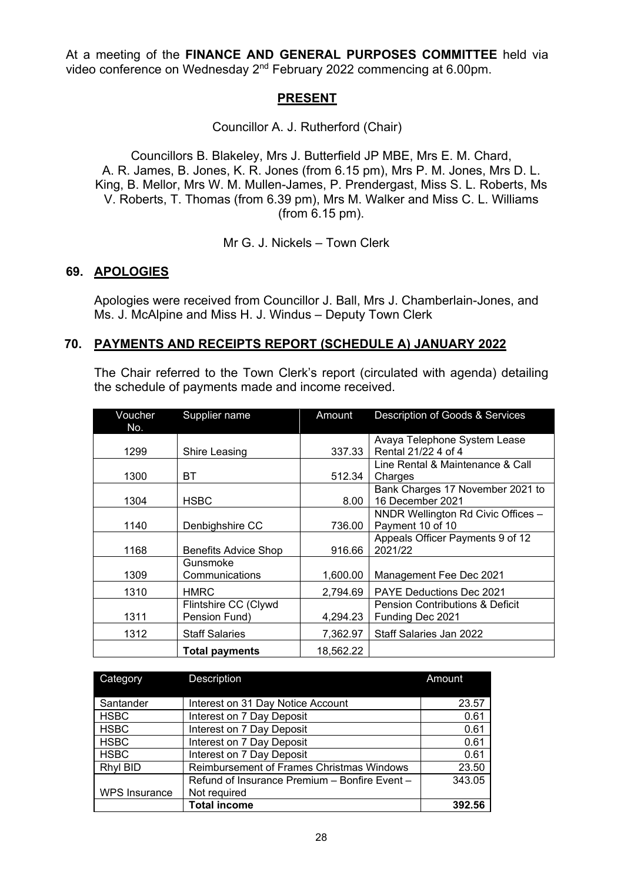At a meeting of the **FINANCE AND GENERAL PURPOSES COMMITTEE** held via video conference on Wednesday 2nd February 2022 commencing at 6.00pm.

### **PRESENT**

Councillor A. J. Rutherford (Chair)

Councillors B. Blakeley, Mrs J. Butterfield JP MBE, Mrs E. M. Chard, A. R. James, B. Jones, K. R. Jones (from 6.15 pm), Mrs P. M. Jones, Mrs D. L. King, B. Mellor, Mrs W. M. Mullen-James, P. Prendergast, Miss S. L. Roberts, Ms V. Roberts, T. Thomas (from 6.39 pm), Mrs M. Walker and Miss C. L. Williams (from 6.15 pm).

Mr G. J. Nickels – Town Clerk

#### **69. APOLOGIES**

Apologies were received from Councillor J. Ball, Mrs J. Chamberlain-Jones, and Ms. J. McAlpine and Miss H. J. Windus – Deputy Town Clerk

#### **70. PAYMENTS AND RECEIPTS REPORT (SCHEDULE A) JANUARY 2022**

The Chair referred to the Town Clerk's report (circulated with agenda) detailing the schedule of payments made and income received.

| Voucher | Supplier name               | Amount    | Description of Goods & Services            |
|---------|-----------------------------|-----------|--------------------------------------------|
| No.     |                             |           |                                            |
|         |                             |           | Avaya Telephone System Lease               |
| 1299    | Shire Leasing               | 337.33    | Rental 21/22 4 of 4                        |
|         |                             |           | Line Rental & Maintenance & Call           |
| 1300    | BТ                          | 512.34    | Charges                                    |
|         |                             |           | Bank Charges 17 November 2021 to           |
| 1304    | <b>HSBC</b>                 | 8.00      | 16 December 2021                           |
|         |                             |           | NNDR Wellington Rd Civic Offices -         |
| 1140    | Denbighshire CC             | 736.00    | Payment 10 of 10                           |
|         |                             |           | Appeals Officer Payments 9 of 12           |
| 1168    | <b>Benefits Advice Shop</b> | 916.66    | 2021/22                                    |
|         | Gunsmoke                    |           |                                            |
| 1309    | Communications              | 1,600.00  | Management Fee Dec 2021                    |
| 1310    | <b>HMRC</b>                 | 2,794.69  | <b>PAYE Deductions Dec 2021</b>            |
|         | Flintshire CC (Clywd        |           | <b>Pension Contributions &amp; Deficit</b> |
| 1311    | Pension Fund)               | 4,294.23  | Funding Dec 2021                           |
| 1312    | <b>Staff Salaries</b>       | 7,362.97  | Staff Salaries Jan 2022                    |
|         | <b>Total payments</b>       | 18,562.22 |                                            |

| Category             | <b>Description</b>                            | Amount |
|----------------------|-----------------------------------------------|--------|
|                      |                                               |        |
| Santander            | Interest on 31 Day Notice Account             | 23.57  |
| <b>HSBC</b>          | Interest on 7 Day Deposit                     | 0.61   |
| <b>HSBC</b>          | Interest on 7 Day Deposit                     | 0.61   |
| <b>HSBC</b>          | Interest on 7 Day Deposit                     | 0.61   |
| <b>HSBC</b>          | Interest on 7 Day Deposit                     | 0.61   |
| <b>Rhyl BID</b>      | Reimbursement of Frames Christmas Windows     | 23.50  |
|                      | Refund of Insurance Premium - Bonfire Event - | 343.05 |
| <b>WPS Insurance</b> | Not required                                  |        |
|                      | <b>Total income</b>                           | 392.56 |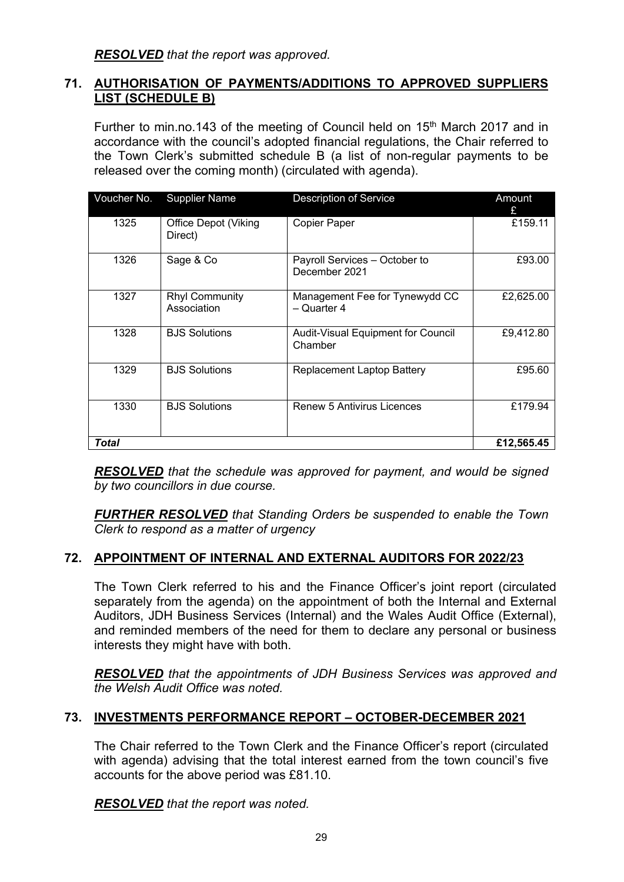*RESOLVED that the report was approved.*

### **71. AUTHORISATION OF PAYMENTS/ADDITIONS TO APPROVED SUPPLIERS LIST (SCHEDULE B)**

Further to min.no.143 of the meeting of Council held on 15<sup>th</sup> March 2017 and in accordance with the council's adopted financial regulations, the Chair referred to the Town Clerk's submitted schedule B (a list of non-regular payments to be released over the coming month) (circulated with agenda).

| Voucher No. | <b>Supplier Name</b>                   | <b>Description of Service</b>                        | Amount<br>£ |
|-------------|----------------------------------------|------------------------------------------------------|-------------|
| 1325        | <b>Office Depot (Viking</b><br>Direct) | <b>Copier Paper</b>                                  | £159.11     |
| 1326        | Sage & Co                              | Payroll Services - October to<br>December 2021       | £93.00      |
| 1327        | <b>Rhyl Community</b><br>Association   | Management Fee for Tynewydd CC<br>- Quarter 4        | £2,625.00   |
| 1328        | <b>BJS Solutions</b>                   | <b>Audit-Visual Equipment for Council</b><br>Chamber | £9,412.80   |
| 1329        | <b>BJS Solutions</b>                   | <b>Replacement Laptop Battery</b>                    | £95.60      |
| 1330        | <b>BJS Solutions</b>                   | <b>Renew 5 Antivirus Licences</b>                    | £179.94     |
| Total       | £12,565.45                             |                                                      |             |

*RESOLVED that the schedule was approved for payment, and would be signed by two councillors in due course.*

*FURTHER RESOLVED that Standing Orders be suspended to enable the Town Clerk to respond as a matter of urgency*

# **72. APPOINTMENT OF INTERNAL AND EXTERNAL AUDITORS FOR 2022/23**

The Town Clerk referred to his and the Finance Officer's joint report (circulated separately from the agenda) on the appointment of both the Internal and External Auditors, JDH Business Services (Internal) and the Wales Audit Office (External), and reminded members of the need for them to declare any personal or business interests they might have with both.

*RESOLVED that the appointments of JDH Business Services was approved and the Welsh Audit Office was noted.*

# **73. INVESTMENTS PERFORMANCE REPORT – OCTOBER-DECEMBER 2021**

The Chair referred to the Town Clerk and the Finance Officer's report (circulated with agenda) advising that the total interest earned from the town council's five accounts for the above period was £81.10.

*RESOLVED that the report was noted.*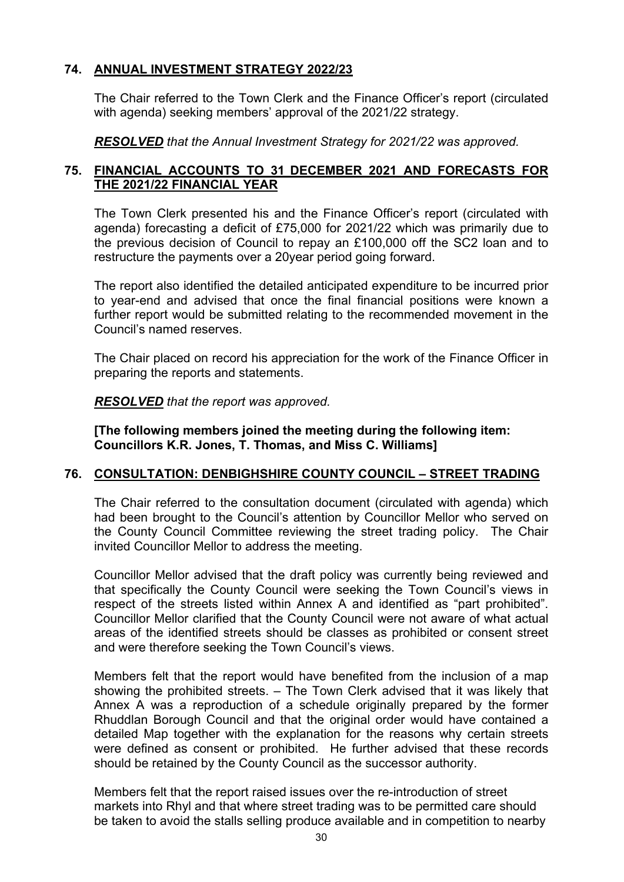## **74. ANNUAL INVESTMENT STRATEGY 2022/23**

The Chair referred to the Town Clerk and the Finance Officer's report (circulated with agenda) seeking members' approval of the 2021/22 strategy.

*RESOLVED that the Annual Investment Strategy for 2021/22 was approved.*

# **75. FINANCIAL ACCOUNTS TO 31 DECEMBER 2021 AND FORECASTS FOR THE 2021/22 FINANCIAL YEAR**

The Town Clerk presented his and the Finance Officer's report (circulated with agenda) forecasting a deficit of £75,000 for 2021/22 which was primarily due to the previous decision of Council to repay an £100,000 off the SC2 loan and to restructure the payments over a 20year period going forward.

The report also identified the detailed anticipated expenditure to be incurred prior to year-end and advised that once the final financial positions were known a further report would be submitted relating to the recommended movement in the Council's named reserves.

The Chair placed on record his appreciation for the work of the Finance Officer in preparing the reports and statements.

*RESOLVED that the report was approved.*

**[The following members joined the meeting during the following item: Councillors K.R. Jones, T. Thomas, and Miss C. Williams]**

# **76. CONSULTATION: DENBIGHSHIRE COUNTY COUNCIL – STREET TRADING**

The Chair referred to the consultation document (circulated with agenda) which had been brought to the Council's attention by Councillor Mellor who served on the County Council Committee reviewing the street trading policy. The Chair invited Councillor Mellor to address the meeting.

Councillor Mellor advised that the draft policy was currently being reviewed and that specifically the County Council were seeking the Town Council's views in respect of the streets listed within Annex A and identified as "part prohibited". Councillor Mellor clarified that the County Council were not aware of what actual areas of the identified streets should be classes as prohibited or consent street and were therefore seeking the Town Council's views.

Members felt that the report would have benefited from the inclusion of a map showing the prohibited streets. – The Town Clerk advised that it was likely that Annex A was a reproduction of a schedule originally prepared by the former Rhuddlan Borough Council and that the original order would have contained a detailed Map together with the explanation for the reasons why certain streets were defined as consent or prohibited. He further advised that these records should be retained by the County Council as the successor authority.

Members felt that the report raised issues over the re-introduction of street markets into Rhyl and that where street trading was to be permitted care should be taken to avoid the stalls selling produce available and in competition to nearby